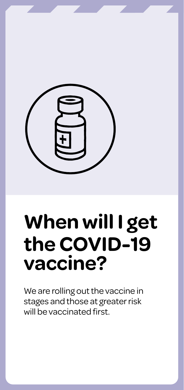

# **When will I get the COVID-19 vaccine?**

We are rolling out the vaccine in stages and those at greater risk will be vaccinated first.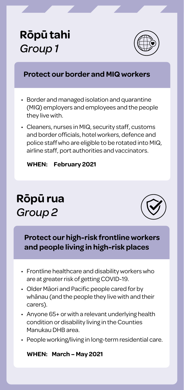### **Rōpū tahi** *Group 1*



#### **Protect our border and MIQ workers**

- Border and managed isolation and quarantine (MIQ) employers and employees and the people they live with.
- Cleaners, nurses in MIQ, security staff, customs and border officials, hotel workers, defence and police staff who are eligible to be rotated into MIQ, airline staff, port authorities and vaccinators.

**WHEN: February 2021**

### **Rōpū rua** *Group 2*



**Protect our high-risk frontline workers and people living in high-risk places**

- Frontline healthcare and disability workers who are at greater risk of getting COVID-19.
- Older Māori and Pacific people cared for by whānau (and the people they live with and their carers).
- Anyone 65+ or with a relevant underlying health condition or disability living in the Counties Manukau DHB area.
- People working/living in long-term residential care.

#### **WHEN: March – May 2021**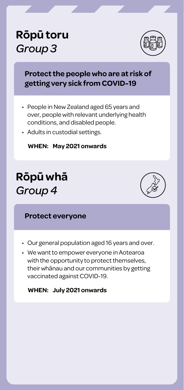### **Rōpū toru** *Group 3*



#### **Protect the people who are at risk of getting very sick from COVID-19**

- People in New Zealand aged 65 years and over, people with relevant underlying health conditions, and disabled people.
- Adults in custodial settings.

#### **WHEN: May 2021 onwards**

### **Rōpū whā** *Group 4*



#### **Protect everyone**

- Our general population aged 16 years and over.
- We want to empower everyone in Aotearoa with the opportunity to protect themselves, their whānau and our communities by getting vaccinated against COVID-19.

#### **WHEN: July 2021 onwards**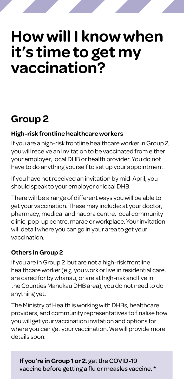# **How will I know when it's time to get my vaccination?**

### **Group 2**

#### **High-risk frontline healthcare workers**

If you are a high-risk frontline healthcare worker in Group 2, you will receive an invitation to be vaccinated from either your employer, local DHB or health provider. You do not have to do anything yourself to set up your appointment.

If you have not received an invitation by mid-April, you should speak to your employer or local DHB.

There will be a range of different ways you will be able to get your vaccination. These may include: at your doctor, pharmacy, medical and hauora centre, local community clinic, pop-up centre, marae or workplace. Your invitation will detail where you can go in your area to get your vaccination.

#### **Others in Group 2**

If you are in Group 2 but are not a high-risk frontline healthcare worker (e.g. you work or live in residential care, are cared for by whānau, or are at high-risk and live in the Counties Manukau DHB area), you do not need to do anything yet.

The Ministry of Health is working with DHBs, healthcare providers, and community representatives to finalise how you will get your vaccination invitation and options for where you can get your vaccination. We will provide more details soon.

**If you're in Group 1 or 2**, get the COVID-19 vaccine before getting a flu or measles vaccine. \*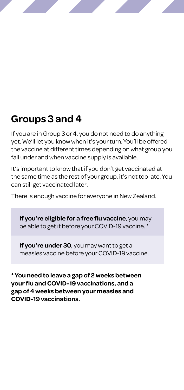### **Groups 3 and 4**

If you are in Group 3 or 4, you do not need to do anything yet. We'll let you know when it's your turn. You'll be offered the vaccine at different times depending on what group you fall under and when vaccine supply is available.

It's important to know that if you don't get vaccinated at the same time as the rest of your group, it's not too late. You can still get vaccinated later.

There is enough vaccine for everyone in New Zealand.

**If you're eligible for a free flu vaccine**, you may be able to get it before your COVID-19 vaccine. \*

**If you're under 30**, you may want to get a measles vaccine before your COVID-19 vaccine.

**\* You need to leave a gap of 2 weeks between your flu and COVID-19 vaccinations, and a gap of 4 weeks between your measles and COVID-19 vaccinations.**